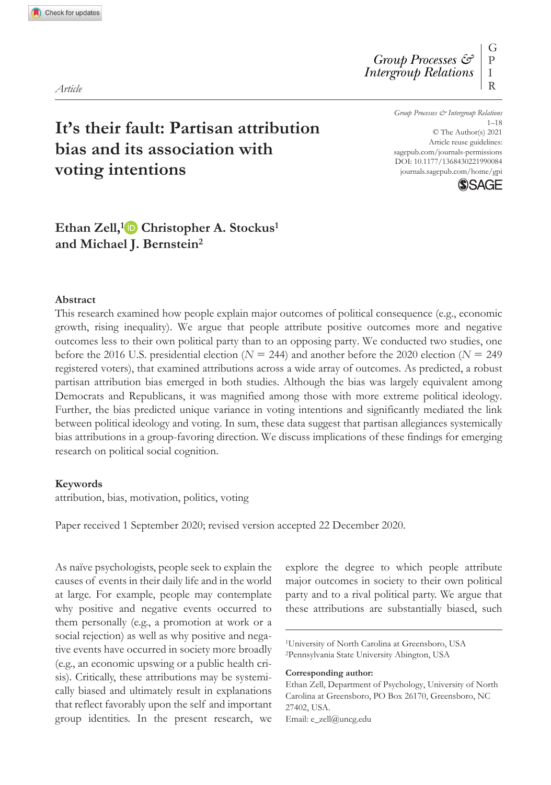*Group Processes & Intergroup Relations* R

https://doi.org/10.1177/1368430221990084  $1 - 18$ © The Author(s) 2021 Article reuse guidelines: sagepub.com/journals-permissions journals.sagepub.com/home/gpi



# **It's their fault: Partisan attribution bias and its association with voting intentions**

# **Ethan Zell,<sup>1</sup> Christopher A. Stockus<sup>1</sup> and Michael J. Bernstein<sup>2</sup>**

### **Abstract**

This research examined how people explain major outcomes of political consequence (e.g., economic growth, rising inequality). We argue that people attribute positive outcomes more and negative outcomes less to their own political party than to an opposing party. We conducted two studies, one before the 2016 U.S. presidential election (*N* = 244) and another before the 2020 election (*N* = 249 registered voters), that examined attributions across a wide array of outcomes. As predicted, a robust partisan attribution bias emerged in both studies. Although the bias was largely equivalent among Democrats and Republicans, it was magnified among those with more extreme political ideology. Further, the bias predicted unique variance in voting intentions and significantly mediated the link between political ideology and voting. In sum, these data suggest that partisan allegiances systemically bias attributions in a group-favoring direction. We discuss implications of these findings for emerging research on political social cognition.

### **Keywords**

attribution, bias, motivation, politics, voting

Paper received 1 September 2020; revised version accepted 22 December 2020.

As naïve psychologists, people seek to explain the causes of events in their daily life and in the world at large. For example, people may contemplate why positive and negative events occurred to them personally (e.g., a promotion at work or a social rejection) as well as why positive and negative events have occurred in society more broadly (e.g., an economic upswing or a public health crisis). Critically, these attributions may be systemically biased and ultimately result in explanations that reflect favorably upon the self and important group identities. In the present research, we explore the degree to which people attribute major outcomes in society to their own political party and to a rival political party. We argue that these attributions are substantially biased, such

*Article*

<sup>1</sup>University of North Carolina at Greensboro, USA <sup>2</sup>Pennsylvania State University Abington, USA

**Corresponding author:**

Ethan Zell, Department of Psychology, University of North Carolina at Greensboro, PO Box 26170, Greensboro, NC 27402, USA. Email: e\_zell@uncg.edu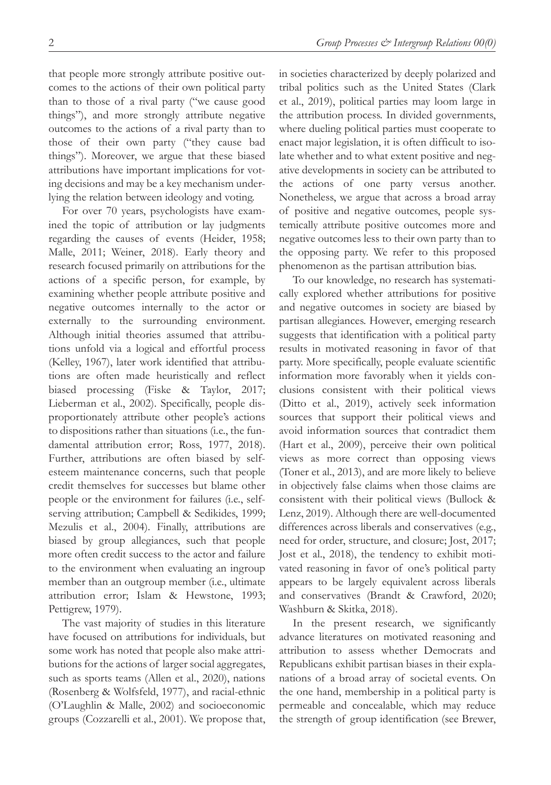that people more strongly attribute positive outcomes to the actions of their own political party than to those of a rival party ("we cause good things"), and more strongly attribute negative outcomes to the actions of a rival party than to those of their own party ("they cause bad things"). Moreover, we argue that these biased attributions have important implications for voting decisions and may be a key mechanism underlying the relation between ideology and voting.

For over 70 years, psychologists have examined the topic of attribution or lay judgments regarding the causes of events (Heider, 1958; Malle, 2011; Weiner, 2018). Early theory and research focused primarily on attributions for the actions of a specific person, for example, by examining whether people attribute positive and negative outcomes internally to the actor or externally to the surrounding environment. Although initial theories assumed that attributions unfold via a logical and effortful process (Kelley, 1967), later work identified that attributions are often made heuristically and reflect biased processing (Fiske & Taylor, 2017; Lieberman et al., 2002). Specifically, people disproportionately attribute other people's actions to dispositions rather than situations (i.e., the fundamental attribution error; Ross, 1977, 2018). Further, attributions are often biased by selfesteem maintenance concerns, such that people credit themselves for successes but blame other people or the environment for failures (i.e., selfserving attribution; Campbell & Sedikides, 1999; Mezulis et al., 2004). Finally, attributions are biased by group allegiances, such that people more often credit success to the actor and failure to the environment when evaluating an ingroup member than an outgroup member (i.e., ultimate attribution error; Islam & Hewstone, 1993; Pettigrew, 1979).

The vast majority of studies in this literature have focused on attributions for individuals, but some work has noted that people also make attributions for the actions of larger social aggregates, such as sports teams (Allen et al., 2020), nations (Rosenberg & Wolfsfeld, 1977), and racial-ethnic (O'Laughlin & Malle, 2002) and socioeconomic groups (Cozzarelli et al., 2001). We propose that,

in societies characterized by deeply polarized and tribal politics such as the United States (Clark et al., 2019), political parties may loom large in the attribution process. In divided governments, where dueling political parties must cooperate to enact major legislation, it is often difficult to isolate whether and to what extent positive and negative developments in society can be attributed to the actions of one party versus another. Nonetheless, we argue that across a broad array of positive and negative outcomes, people systemically attribute positive outcomes more and negative outcomes less to their own party than to the opposing party. We refer to this proposed phenomenon as the partisan attribution bias.

To our knowledge, no research has systematically explored whether attributions for positive and negative outcomes in society are biased by partisan allegiances. However, emerging research suggests that identification with a political party results in motivated reasoning in favor of that party. More specifically, people evaluate scientific information more favorably when it yields conclusions consistent with their political views (Ditto et al., 2019), actively seek information sources that support their political views and avoid information sources that contradict them (Hart et al., 2009), perceive their own political views as more correct than opposing views (Toner et al., 2013), and are more likely to believe in objectively false claims when those claims are consistent with their political views (Bullock & Lenz, 2019). Although there are well-documented differences across liberals and conservatives (e.g., need for order, structure, and closure; Jost, 2017; Jost et al., 2018), the tendency to exhibit motivated reasoning in favor of one's political party appears to be largely equivalent across liberals and conservatives (Brandt & Crawford, 2020; Washburn & Skitka, 2018).

In the present research, we significantly advance literatures on motivated reasoning and attribution to assess whether Democrats and Republicans exhibit partisan biases in their explanations of a broad array of societal events. On the one hand, membership in a political party is permeable and concealable, which may reduce the strength of group identification (see Brewer,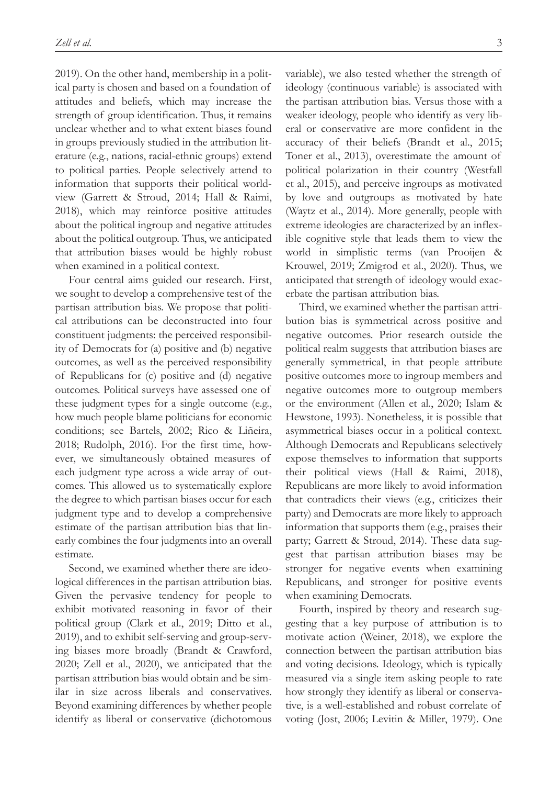2019). On the other hand, membership in a political party is chosen and based on a foundation of attitudes and beliefs, which may increase the strength of group identification. Thus, it remains unclear whether and to what extent biases found in groups previously studied in the attribution literature (e.g., nations, racial-ethnic groups) extend to political parties. People selectively attend to information that supports their political worldview (Garrett & Stroud, 2014; Hall & Raimi, 2018), which may reinforce positive attitudes about the political ingroup and negative attitudes about the political outgroup. Thus, we anticipated that attribution biases would be highly robust when examined in a political context.

Four central aims guided our research. First, we sought to develop a comprehensive test of the partisan attribution bias. We propose that political attributions can be deconstructed into four constituent judgments: the perceived responsibility of Democrats for (a) positive and (b) negative outcomes, as well as the perceived responsibility of Republicans for (c) positive and (d) negative outcomes. Political surveys have assessed one of these judgment types for a single outcome (e.g., how much people blame politicians for economic conditions; see Bartels, 2002; Rico & Liñeira, 2018; Rudolph, 2016). For the first time, however, we simultaneously obtained measures of each judgment type across a wide array of outcomes. This allowed us to systematically explore the degree to which partisan biases occur for each judgment type and to develop a comprehensive estimate of the partisan attribution bias that linearly combines the four judgments into an overall estimate.

Second, we examined whether there are ideological differences in the partisan attribution bias. Given the pervasive tendency for people to exhibit motivated reasoning in favor of their political group (Clark et al., 2019; Ditto et al., 2019), and to exhibit self-serving and group-serving biases more broadly (Brandt & Crawford, 2020; Zell et al., 2020), we anticipated that the partisan attribution bias would obtain and be similar in size across liberals and conservatives. Beyond examining differences by whether people identify as liberal or conservative (dichotomous

variable), we also tested whether the strength of ideology (continuous variable) is associated with the partisan attribution bias. Versus those with a weaker ideology, people who identify as very liberal or conservative are more confident in the accuracy of their beliefs (Brandt et al., 2015; Toner et al., 2013), overestimate the amount of political polarization in their country (Westfall et al., 2015), and perceive ingroups as motivated by love and outgroups as motivated by hate (Waytz et al., 2014). More generally, people with extreme ideologies are characterized by an inflexible cognitive style that leads them to view the world in simplistic terms (van Prooijen & Krouwel, 2019; Zmigrod et al., 2020). Thus, we anticipated that strength of ideology would exacerbate the partisan attribution bias.

Third, we examined whether the partisan attribution bias is symmetrical across positive and negative outcomes. Prior research outside the political realm suggests that attribution biases are generally symmetrical, in that people attribute positive outcomes more to ingroup members and negative outcomes more to outgroup members or the environment (Allen et al., 2020; Islam & Hewstone, 1993). Nonetheless, it is possible that asymmetrical biases occur in a political context. Although Democrats and Republicans selectively expose themselves to information that supports their political views (Hall & Raimi, 2018), Republicans are more likely to avoid information that contradicts their views (e.g., criticizes their party) and Democrats are more likely to approach information that supports them (e.g., praises their party; Garrett & Stroud, 2014). These data suggest that partisan attribution biases may be stronger for negative events when examining Republicans, and stronger for positive events when examining Democrats.

Fourth, inspired by theory and research suggesting that a key purpose of attribution is to motivate action (Weiner, 2018), we explore the connection between the partisan attribution bias and voting decisions. Ideology, which is typically measured via a single item asking people to rate how strongly they identify as liberal or conservative, is a well-established and robust correlate of voting (Jost, 2006; Levitin & Miller, 1979). One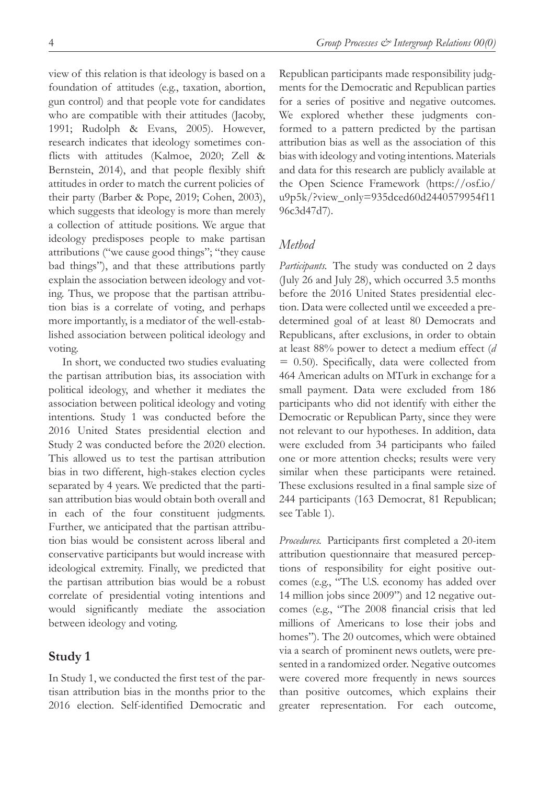view of this relation is that ideology is based on a foundation of attitudes (e.g., taxation, abortion, gun control) and that people vote for candidates who are compatible with their attitudes (Jacoby, 1991; Rudolph & Evans, 2005). However, research indicates that ideology sometimes conflicts with attitudes (Kalmoe, 2020; Zell & Bernstein, 2014), and that people flexibly shift attitudes in order to match the current policies of their party (Barber & Pope, 2019; Cohen, 2003), which suggests that ideology is more than merely a collection of attitude positions. We argue that ideology predisposes people to make partisan attributions ("we cause good things"; "they cause bad things"), and that these attributions partly explain the association between ideology and voting. Thus, we propose that the partisan attribution bias is a correlate of voting, and perhaps more importantly, is a mediator of the well-established association between political ideology and voting.

In short, we conducted two studies evaluating the partisan attribution bias, its association with political ideology, and whether it mediates the association between political ideology and voting intentions. Study 1 was conducted before the 2016 United States presidential election and Study 2 was conducted before the 2020 election. This allowed us to test the partisan attribution bias in two different, high-stakes election cycles separated by 4 years. We predicted that the partisan attribution bias would obtain both overall and in each of the four constituent judgments. Further, we anticipated that the partisan attribution bias would be consistent across liberal and conservative participants but would increase with ideological extremity. Finally, we predicted that the partisan attribution bias would be a robust correlate of presidential voting intentions and would significantly mediate the association between ideology and voting.

# **Study 1**

In Study 1, we conducted the first test of the partisan attribution bias in the months prior to the 2016 election. Self-identified Democratic and Republican participants made responsibility judgments for the Democratic and Republican parties for a series of positive and negative outcomes. We explored whether these judgments conformed to a pattern predicted by the partisan attribution bias as well as the association of this bias with ideology and voting intentions. Materials and data for this research are publicly available at the Open Science Framework (https://osf.io/ u9p5k/?view\_only=935dced60d2440579954f11 96c3d47d7).

# *Method*

*Participants.* The study was conducted on 2 days (July 26 and July 28), which occurred 3.5 months before the 2016 United States presidential election. Data were collected until we exceeded a predetermined goal of at least 80 Democrats and Republicans, after exclusions, in order to obtain at least 88% power to detect a medium effect (*d* = 0.50). Specifically, data were collected from 464 American adults on MTurk in exchange for a small payment. Data were excluded from 186 participants who did not identify with either the Democratic or Republican Party, since they were not relevant to our hypotheses. In addition, data were excluded from 34 participants who failed one or more attention checks; results were very similar when these participants were retained. These exclusions resulted in a final sample size of 244 participants (163 Democrat, 81 Republican; see Table 1).

*Procedures.* Participants first completed a 20-item attribution questionnaire that measured perceptions of responsibility for eight positive outcomes (e.g., "The U.S. economy has added over 14 million jobs since 2009") and 12 negative outcomes (e.g., "The 2008 financial crisis that led millions of Americans to lose their jobs and homes"). The 20 outcomes, which were obtained via a search of prominent news outlets, were presented in a randomized order. Negative outcomes were covered more frequently in news sources than positive outcomes, which explains their greater representation. For each outcome,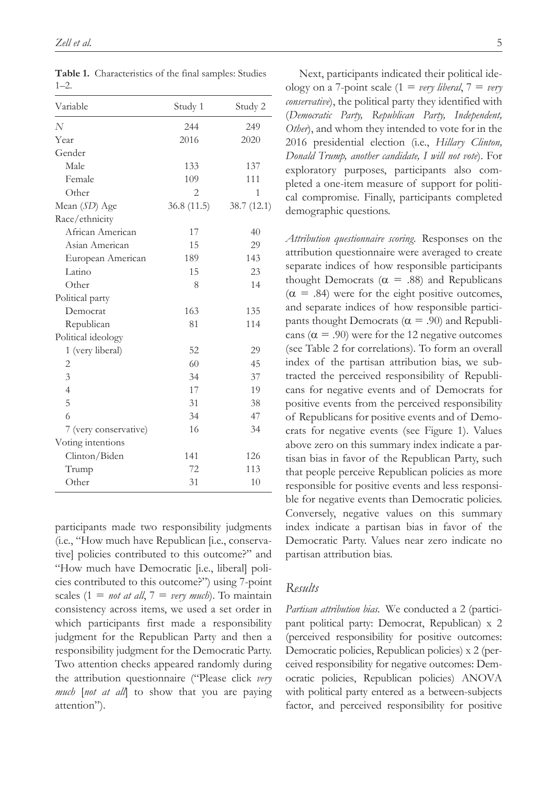| Variable              | Study 1        | Study 2    |
|-----------------------|----------------|------------|
| N                     | 244            | 249        |
| Year                  | 2016           | 2020       |
| Gender                |                |            |
| Male                  | 133            | 137        |
| Female                | 109            | 111        |
| Other                 | $\overline{2}$ | 1          |
| Mean (SD) Age         | 36.8(11.5)     | 38.7(12.1) |
| Race/ethnicity        |                |            |
| African American      | 17             | 40         |
| Asian American        | 15             | 29         |
| European American     | 189            | 143        |
| Latino                | 15             | 23         |
| Other                 | 8              | 14         |
| Political party       |                |            |
| Democrat              | 163            | 135        |
| Republican            | 81             | 114        |
| Political ideology    |                |            |
| 1 (very liberal)      | 52             | 29         |
| 2                     | 60             | 45         |
| 3                     | 34             | 37         |
| $\overline{4}$        | 17             | 19         |
| 5                     | 31             | 38         |
| 6                     | 34             | 47         |
| 7 (very conservative) | 16             | 34         |
| Voting intentions     |                |            |
| Clinton/Biden         | 141            | 126        |
| Trump                 | 72             | 113        |
| Other                 | 31             | 10         |
|                       |                |            |

**Table 1.** Characteristics of the final samples: Studies  $1 - 2$ .

participants made two responsibility judgments (i.e., "How much have Republican [i.e., conservative] policies contributed to this outcome?" and "How much have Democratic [i.e., liberal] policies contributed to this outcome?") using 7-point scales  $(1 = not at all, 7 = very much)$ . To maintain consistency across items, we used a set order in which participants first made a responsibility judgment for the Republican Party and then a responsibility judgment for the Democratic Party. Two attention checks appeared randomly during the attribution questionnaire ("Please click *very much* [*not at all*] to show that you are paying attention").

Next, participants indicated their political ideology on a 7-point scale  $(1 = very liberal, 7 = very$ *conservative*), the political party they identified with (*Democratic Party, Republican Party, Independent, Other*), and whom they intended to vote for in the 2016 presidential election (i.e., *Hillary Clinton, Donald Trump, another candidate, I will not vote*). For exploratory purposes, participants also completed a one-item measure of support for political compromise. Finally, participants completed demographic questions.

*Attribution questionnaire scoring.* Responses on the attribution questionnaire were averaged to create separate indices of how responsible participants thought Democrats ( $\alpha$  = .88) and Republicans  $(\alpha = .84)$  were for the eight positive outcomes, and separate indices of how responsible participants thought Democrats ( $\alpha$  = .90) and Republicans ( $\alpha$  = .90) were for the 12 negative outcomes (see Table 2 for correlations). To form an overall index of the partisan attribution bias, we subtracted the perceived responsibility of Republicans for negative events and of Democrats for positive events from the perceived responsibility of Republicans for positive events and of Democrats for negative events (see Figure 1). Values above zero on this summary index indicate a partisan bias in favor of the Republican Party, such that people perceive Republican policies as more responsible for positive events and less responsible for negative events than Democratic policies. Conversely, negative values on this summary index indicate a partisan bias in favor of the Democratic Party. Values near zero indicate no partisan attribution bias.

# *Results*

*Partisan attribution bias.* We conducted a 2 (participant political party: Democrat, Republican) x 2 (perceived responsibility for positive outcomes: Democratic policies, Republican policies) x 2 (perceived responsibility for negative outcomes: Democratic policies, Republican policies) ANOVA with political party entered as a between-subjects factor, and perceived responsibility for positive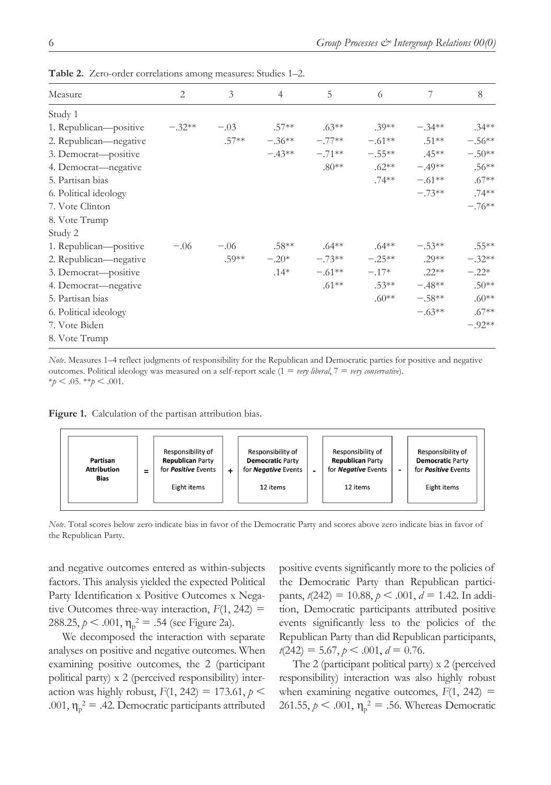| Measure                | $\overline{2}$ | 3       | $\overline{4}$ | 5        | 6         | 7        | 8        |
|------------------------|----------------|---------|----------------|----------|-----------|----------|----------|
| Study 1                |                |         |                |          |           |          |          |
| 1. Republican—positive | $-.32**$       | $-.03$  | $.57**$        | $.63**$  | $.39**$   | $-.34**$ | $.34***$ |
| 2. Republican—negative |                | $.57**$ | $-.36**$       | $-.77**$ | $-.61***$ | $.51***$ | $-.56**$ |
| 3. Democrat—positive   |                |         | $-.43**$       | $-.71**$ | $-.55**$  | $.45**$  | $-.50**$ |
| 4. Democrat—negative   |                |         |                | $.80**$  | $.62***$  | $-.49**$ | $.56**$  |
| 5. Partisan bias       |                |         |                |          | $.74***$  | $-.61**$ | $.67**$  |
| 6. Political ideology  |                |         |                |          |           | $-.73**$ | $.74**$  |
| 7. Vote Clinton        |                |         |                |          |           |          | $-.76**$ |
| 8. Vote Trump          |                |         |                |          |           |          |          |
| Study 2                |                |         |                |          |           |          |          |
| 1. Republican—positive | $-.06$         | $-.06$  | $.58**$        | $.64***$ | $.64***$  | $-.53**$ | $.55***$ |
| 2. Republican—negative |                | .59**   | $-.20*$        | $-.73**$ | $-.25**$  | $.29**$  | $-.32**$ |
| 3. Democrat-positive   |                |         | $.14*$         | $-.61**$ | $-.17*$   | $.22**$  | $-.22*$  |
| 4. Democrat—negative   |                |         |                | $.61***$ | $.53**$   | $-.48**$ | $.50**$  |
| 5. Partisan bias       |                |         |                |          | $.60**$   | $-.58**$ | $.60**$  |
| 6. Political ideology  |                |         |                |          |           | $-.63**$ | $.67**$  |
| 7. Vote Biden          |                |         |                |          |           |          | $-.92**$ |
| 8. Vote Trump          |                |         |                |          |           |          |          |

**Table 2.** Zero-order correlations among measures: Studies 1–2.

*Note*. Measures 1–4 reflect judgments of responsibility for the Republican and Democratic parties for positive and negative outcomes. Political ideology was measured on a self-report scale (1 = *very liberal*, 7 = *very conservative*).  $*_{p}$  < .05.  $*_{p}$  < .001.

**Figure 1.** Calculation of the partisan attribution bias.



*Note*. Total scores below zero indicate bias in favor of the Democratic Party and scores above zero indicate bias in favor of the Republican Party.

and negative outcomes entered as within-subjects factors. This analysis yielded the expected Political Party Identification x Positive Outcomes x Negative Outcomes three-way interaction,  $F(1, 242) =$ 288.25,  $p < .001$ ,  $\eta_p^2 = .54$  (see Figure 2a).

We decomposed the interaction with separate analyses on positive and negative outcomes. When examining positive outcomes, the 2 (participant political party) x 2 (perceived responsibility) interaction was highly robust,  $F(1, 242) = 173.61$ ,  $p \le$ .001,  $\eta_p^2 = .42$ . Democratic participants attributed positive events significantly more to the policies of the Democratic Party than Republican participants, *t*(242) = 10.88, *p* < .001, *d* = 1.42. In addition, Democratic participants attributed positive events significantly less to the policies of the Republican Party than did Republican participants,  $t(242) = 5.67, p < .001, d = 0.76.$ 

The 2 (participant political party) x 2 (perceived responsibility) interaction was also highly robust when examining negative outcomes,  $F(1, 242) =$ 261.55,  $p < .001$ ,  $\eta_p^2 = .56$ . Whereas Democratic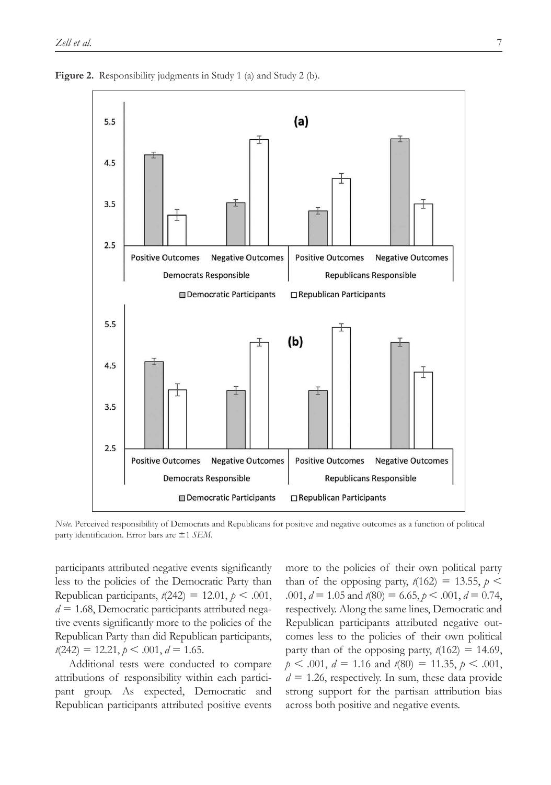

**Figure 2.** Responsibility judgments in Study 1 (a) and Study 2 (b).

*Note.* Perceived responsibility of Democrats and Republicans for positive and negative outcomes as a function of political party identification. Error bars are ±1 *SEM*.

participants attributed negative events significantly less to the policies of the Democratic Party than Republican participants,  $t(242) = 12.01$ ,  $p < .001$ ,  $d = 1.68$ , Democratic participants attributed negative events significantly more to the policies of the Republican Party than did Republican participants,  $t(242) = 12.21, p \le .001, d = 1.65.$ 

Additional tests were conducted to compare attributions of responsibility within each participant group. As expected, Democratic and Republican participants attributed positive events

more to the policies of their own political party than of the opposing party,  $t(162) = 13.55$ ,  $p \le$  $.001, d = 1.05$  and  $t(80) = 6.65, p < .001, d = 0.74$ , respectively. Along the same lines, Democratic and Republican participants attributed negative outcomes less to the policies of their own political party than of the opposing party,  $t(162) = 14.69$ ,  $p < .001$ ,  $d = 1.16$  and  $t(80) = 11.35$ ,  $p < .001$ ,  $d = 1.26$ , respectively. In sum, these data provide strong support for the partisan attribution bias across both positive and negative events.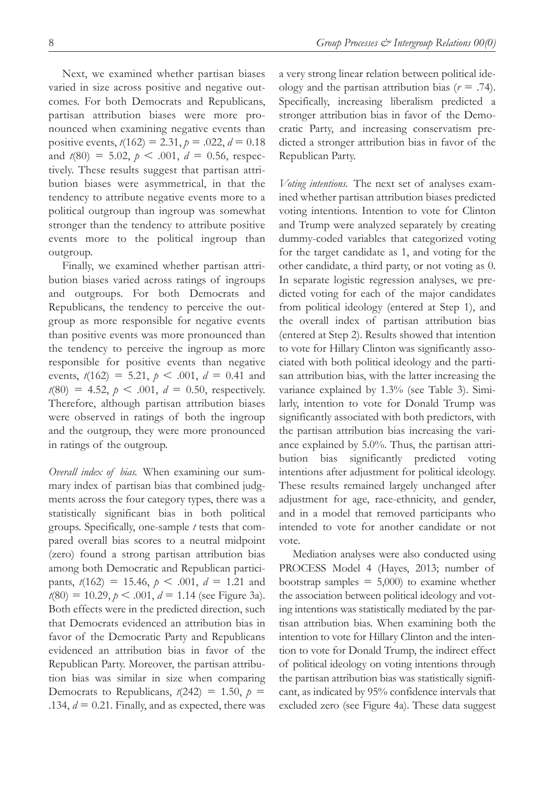Next, we examined whether partisan biases varied in size across positive and negative outcomes. For both Democrats and Republicans, partisan attribution biases were more pronounced when examining negative events than positive events,  $t(162) = 2.31$ ,  $p = .022$ ,  $d = 0.18$ and  $t(80) = 5.02$ ,  $p < .001$ ,  $d = 0.56$ , respectively. These results suggest that partisan attribution biases were asymmetrical, in that the

tendency to attribute negative events more to a political outgroup than ingroup was somewhat stronger than the tendency to attribute positive events more to the political ingroup than outgroup.

Finally, we examined whether partisan attribution biases varied across ratings of ingroups and outgroups. For both Democrats and Republicans, the tendency to perceive the outgroup as more responsible for negative events than positive events was more pronounced than the tendency to perceive the ingroup as more responsible for positive events than negative events,  $t(162) = 5.21$ ,  $p < .001$ ,  $d = 0.41$  and  $t(80) = 4.52, p \le .001, d = 0.50$ , respectively. Therefore, although partisan attribution biases were observed in ratings of both the ingroup and the outgroup, they were more pronounced in ratings of the outgroup.

*Overall index of bias.* When examining our summary index of partisan bias that combined judgments across the four category types, there was a statistically significant bias in both political groups. Specifically, one-sample *t* tests that compared overall bias scores to a neutral midpoint (zero) found a strong partisan attribution bias among both Democratic and Republican participants,  $t(162) = 15.46$ ,  $p < .001$ ,  $d = 1.21$  and  $t(80) = 10.29, p \le .001, d = 1.14$  (see Figure 3a). Both effects were in the predicted direction, such that Democrats evidenced an attribution bias in favor of the Democratic Party and Republicans evidenced an attribution bias in favor of the Republican Party. Moreover, the partisan attribution bias was similar in size when comparing Democrats to Republicans,  $t(242) = 1.50$ ,  $p =$ .134,  $d = 0.21$ . Finally, and as expected, there was

a very strong linear relation between political ideology and the partisan attribution bias  $(r = .74)$ . Specifically, increasing liberalism predicted a stronger attribution bias in favor of the Democratic Party, and increasing conservatism predicted a stronger attribution bias in favor of the Republican Party.

*Voting intentions.* The next set of analyses examined whether partisan attribution biases predicted voting intentions. Intention to vote for Clinton and Trump were analyzed separately by creating dummy-coded variables that categorized voting for the target candidate as 1, and voting for the other candidate, a third party, or not voting as 0. In separate logistic regression analyses, we predicted voting for each of the major candidates from political ideology (entered at Step 1), and the overall index of partisan attribution bias (entered at Step 2). Results showed that intention to vote for Hillary Clinton was significantly associated with both political ideology and the partisan attribution bias, with the latter increasing the variance explained by 1.3% (see Table 3). Similarly, intention to vote for Donald Trump was significantly associated with both predictors, with the partisan attribution bias increasing the variance explained by 5.0%. Thus, the partisan attribution bias significantly predicted voting intentions after adjustment for political ideology. These results remained largely unchanged after adjustment for age, race-ethnicity, and gender, and in a model that removed participants who intended to vote for another candidate or not vote.

Mediation analyses were also conducted using PROCESS Model 4 (Hayes, 2013; number of bootstrap samples  $= 5,000$  to examine whether the association between political ideology and voting intentions was statistically mediated by the partisan attribution bias. When examining both the intention to vote for Hillary Clinton and the intention to vote for Donald Trump, the indirect effect of political ideology on voting intentions through the partisan attribution bias was statistically significant, as indicated by 95% confidence intervals that excluded zero (see Figure 4a). These data suggest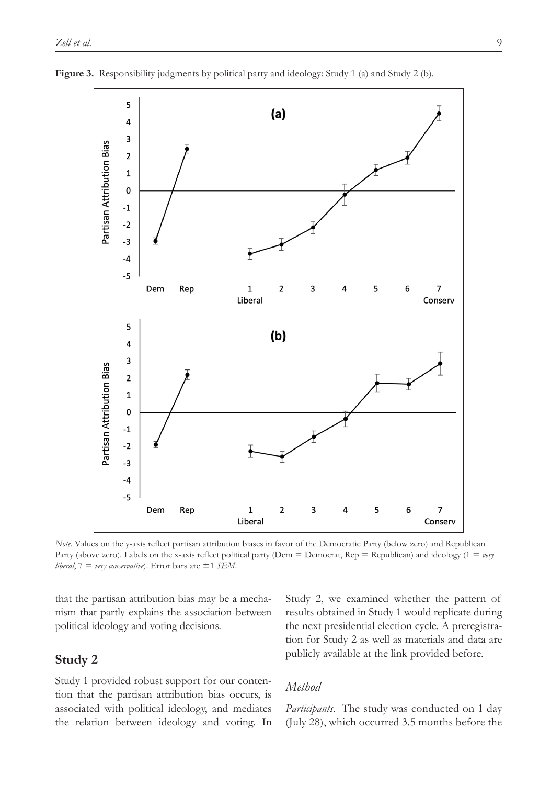

**Figure 3.** Responsibility judgments by political party and ideology: Study 1 (a) and Study 2 (b).

*Note.* Values on the y-axis reflect partisan attribution biases in favor of the Democratic Party (below zero) and Republican Party (above zero). Labels on the x-axis reflect political party (Dem = Democrat, Rep = Republican) and ideology (1 = *very liberal*, 7 = *very conservative*). Error bars are ±1 *SEM*.

that the partisan attribution bias may be a mechanism that partly explains the association between political ideology and voting decisions.

# **Study 2**

Study 1 provided robust support for our contention that the partisan attribution bias occurs, is associated with political ideology, and mediates the relation between ideology and voting. In Study 2, we examined whether the pattern of results obtained in Study 1 would replicate during the next presidential election cycle. A preregistration for Study 2 as well as materials and data are publicly available at the link provided before.

### *Method*

*Participants.* The study was conducted on 1 day (July 28), which occurred 3.5 months before the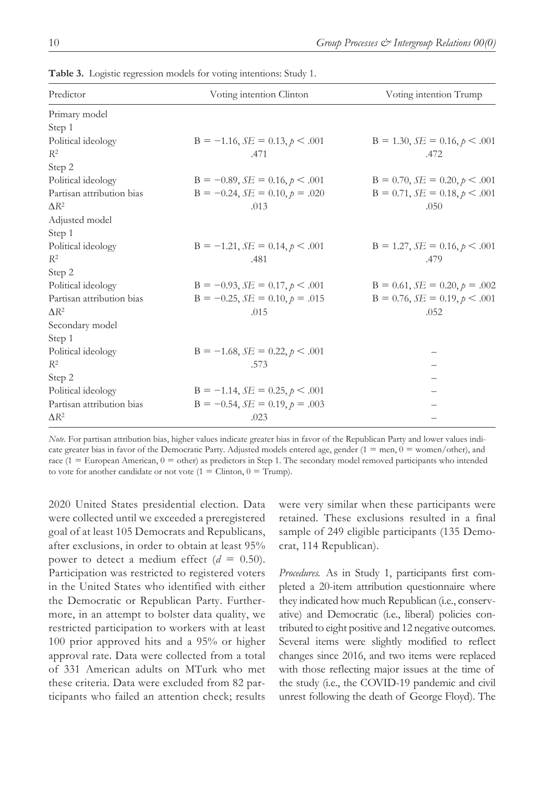| Predictor                 | Voting intention Clinton               | Voting intention Trump                |  |  |
|---------------------------|----------------------------------------|---------------------------------------|--|--|
| Primary model             |                                        |                                       |  |  |
| Step 1                    |                                        |                                       |  |  |
| Political ideology        | $B = -1.16$ , $SE = 0.13$ , $p < .001$ | $B = 1.30, SE = 0.16, p \le .001$     |  |  |
| $R^2$                     | .471                                   | .472                                  |  |  |
| Step 2                    |                                        |                                       |  |  |
| Political ideology        | $B = -0.89$ , $SE = 0.16$ , $p < .001$ | $B = 0.70$ , $SE = 0.20$ , $p < .001$ |  |  |
| Partisan attribution bias | $B = -0.24$ , $SE = 0.10$ , $p = .020$ | $B = 0.71$ , $SE = 0.18$ , $p < .001$ |  |  |
| $\Lambda$ <sup>2</sup>    | .013                                   | .050                                  |  |  |
| Adjusted model            |                                        |                                       |  |  |
| Step 1                    |                                        |                                       |  |  |
| Political ideology        | $B = -1.21$ , $SE = 0.14$ , $p < .001$ | $B = 1.27$ , $SE = 0.16$ , $p < .001$ |  |  |
| $R^2$                     | .481                                   | .479                                  |  |  |
| Step 2                    |                                        |                                       |  |  |
| Political ideology        | $B = -0.93$ , $SE = 0.17$ , $p < .001$ | $B = 0.61$ , $SE = 0.20$ , $p = .002$ |  |  |
| Partisan attribution bias | $B = -0.25$ , $SE = 0.10$ , $p = .015$ | $B = 0.76$ , $SE = 0.19$ , $p < .001$ |  |  |
| $\Delta R^2$              | .015                                   | .052                                  |  |  |
| Secondary model           |                                        |                                       |  |  |
| Step 1                    |                                        |                                       |  |  |
| Political ideology        | $B = -1.68$ , $SE = 0.22$ , $p < .001$ |                                       |  |  |
| $R^2$                     | .573                                   |                                       |  |  |
| Step 2                    |                                        |                                       |  |  |
| Political ideology        | $B = -1.14$ , $SE = 0.25$ , $p < .001$ |                                       |  |  |
| Partisan attribution bias | $B = -0.54$ , $SE = 0.19$ , $p = .003$ |                                       |  |  |
| $\Delta R^2$              | .023                                   |                                       |  |  |

**Table 3.** Logistic regression models for voting intentions: Study 1.

*Note.* For partisan attribution bias, higher values indicate greater bias in favor of the Republican Party and lower values indicate greater bias in favor of the Democratic Party. Adjusted models entered age, gender ( $1 = \text{men}, 0 = \text{women/other}$ ), and race ( $1 = \text{European American}, 0 = \text{other}$ ) as predictors in Step 1. The secondary model removed participants who intended to vote for another candidate or not vote  $(1 = \text{Cinton}, 0 = \text{Trump}).$ 

2020 United States presidential election. Data were collected until we exceeded a preregistered goal of at least 105 Democrats and Republicans, after exclusions, in order to obtain at least 95% power to detect a medium effect  $(d = 0.50)$ . Participation was restricted to registered voters in the United States who identified with either the Democratic or Republican Party. Furthermore, in an attempt to bolster data quality, we restricted participation to workers with at least 100 prior approved hits and a 95% or higher approval rate. Data were collected from a total of 331 American adults on MTurk who met these criteria. Data were excluded from 82 participants who failed an attention check; results

were very similar when these participants were retained. These exclusions resulted in a final sample of 249 eligible participants (135 Democrat, 114 Republican).

*Procedures.* As in Study 1, participants first completed a 20-item attribution questionnaire where they indicated how much Republican (i.e., conservative) and Democratic (i.e., liberal) policies contributed to eight positive and 12 negative outcomes. Several items were slightly modified to reflect changes since 2016, and two items were replaced with those reflecting major issues at the time of the study (i.e., the COVID-19 pandemic and civil unrest following the death of George Floyd). The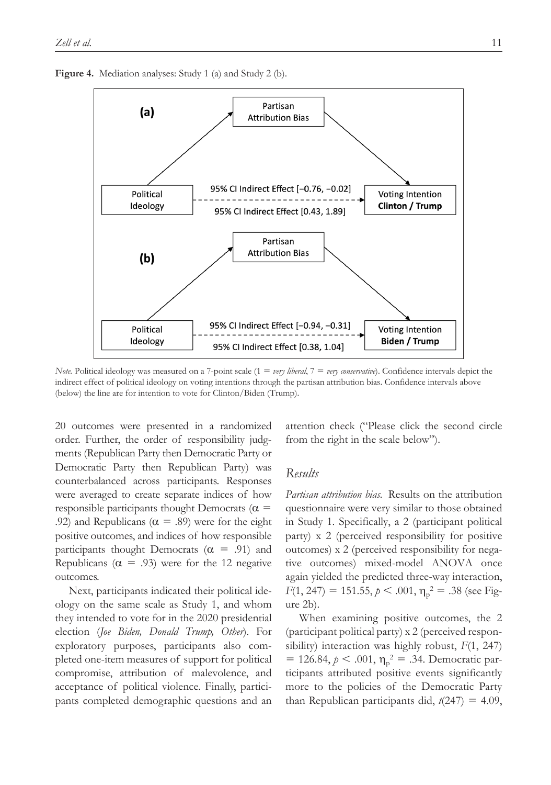**Figure 4.** Mediation analyses: Study 1 (a) and Study 2 (b).



*Note.* Political ideology was measured on a 7-point scale (1 = *very liberal*, 7 = *very conservative*). Confidence intervals depict the indirect effect of political ideology on voting intentions through the partisan attribution bias. Confidence intervals above (below) the line are for intention to vote for Clinton/Biden (Trump).

20 outcomes were presented in a randomized order. Further, the order of responsibility judgments (Republican Party then Democratic Party or Democratic Party then Republican Party) was counterbalanced across participants. Responses were averaged to create separate indices of how responsible participants thought Democrats ( $\alpha$  = .92) and Republicans ( $\alpha = .89$ ) were for the eight positive outcomes, and indices of how responsible participants thought Democrats  $(\alpha = .91)$  and Republicans ( $\alpha$  = .93) were for the 12 negative outcomes.

Next, participants indicated their political ideology on the same scale as Study 1, and whom they intended to vote for in the 2020 presidential election (*Joe Biden, Donald Trump, Other*). For exploratory purposes, participants also completed one-item measures of support for political compromise, attribution of malevolence, and acceptance of political violence. Finally, participants completed demographic questions and an attention check ("Please click the second circle from the right in the scale below").

### *Results*

*Partisan attribution bias.* Results on the attribution questionnaire were very similar to those obtained in Study 1. Specifically, a 2 (participant political party) x 2 (perceived responsibility for positive outcomes) x 2 (perceived responsibility for negative outcomes) mixed-model ANOVA once again yielded the predicted three-way interaction,  $F(1, 247) = 151.55, p < .001, \eta_p^2 = .38$  (see Figure 2b).

When examining positive outcomes, the 2 (participant political party) x 2 (perceived responsibility) interaction was highly robust, *F*(1, 247)  $= 126.84, p < .001, \eta_p^2 = .34$ . Democratic participants attributed positive events significantly more to the policies of the Democratic Party than Republican participants did,  $t(247) = 4.09$ ,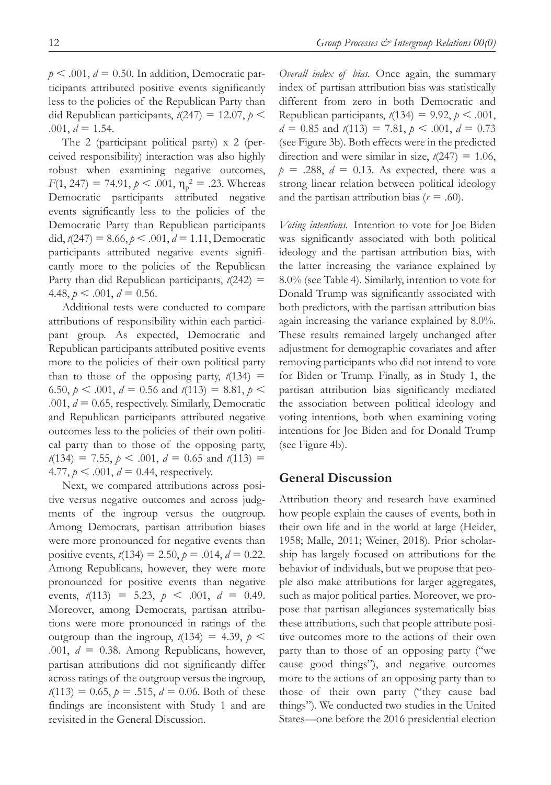$p < .001$ ,  $d = 0.50$ . In addition, Democratic participants attributed positive events significantly less to the policies of the Republican Party than did Republican participants,  $t(247) = 12.07$ ,  $p \le$  $.001, d = 1.54.$ 

The 2 (participant political party) x 2 (perceived responsibility) interaction was also highly robust when examining negative outcomes,  $F(1, 247) = 74.91, p < .001, \eta_p^2 = .23$ . Whereas Democratic participants attributed negative events significantly less to the policies of the Democratic Party than Republican participants did,  $t(247) = 8.66$ ,  $p < .001$ ,  $d = 1.11$ , Democratic participants attributed negative events significantly more to the policies of the Republican Party than did Republican participants, *t*(242) = 4.48,  $p < .001$ ,  $d = 0.56$ .

Additional tests were conducted to compare attributions of responsibility within each participant group. As expected, Democratic and Republican participants attributed positive events more to the policies of their own political party than to those of the opposing party,  $t(134)$  = 6.50,  $p < .001$ ,  $d = 0.56$  and  $t(113) = 8.81$ ,  $p <$ .001,  $d = 0.65$ , respectively. Similarly, Democratic and Republican participants attributed negative outcomes less to the policies of their own political party than to those of the opposing party,  $t(134) = 7.55$ ,  $p < .001$ ,  $d = 0.65$  and  $t(113) =$ 4.77,  $p < .001$ ,  $d = 0.44$ , respectively.

Next, we compared attributions across positive versus negative outcomes and across judgments of the ingroup versus the outgroup. Among Democrats, partisan attribution biases were more pronounced for negative events than positive events,  $t(134) = 2.50$ ,  $p = .014$ ,  $d = 0.22$ . Among Republicans, however, they were more pronounced for positive events than negative events,  $t(113) = 5.23, p < .001, d = 0.49$ . Moreover, among Democrats, partisan attributions were more pronounced in ratings of the outgroup than the ingroup,  $t(134) = 4.39$ ,  $p \le$ .001,  $d = 0.38$ . Among Republicans, however, partisan attributions did not significantly differ across ratings of the outgroup versus the ingroup,  $t(113) = 0.65$ ,  $p = .515$ ,  $d = 0.06$ . Both of these findings are inconsistent with Study 1 and are revisited in the General Discussion.

*Overall index of bias.* Once again, the summary index of partisan attribution bias was statistically different from zero in both Democratic and Republican participants,  $t(134) = 9.92$ ,  $p < .001$ ,  $d = 0.85$  and  $t(113) = 7.81$ ,  $p < .001$ ,  $d = 0.73$ (see Figure 3b). Both effects were in the predicted direction and were similar in size,  $t(247) = 1.06$ ,  $p = .288$ ,  $d = 0.13$ . As expected, there was a strong linear relation between political ideology and the partisan attribution bias  $(r = .60)$ .

*Voting intentions.* Intention to vote for Joe Biden was significantly associated with both political ideology and the partisan attribution bias, with the latter increasing the variance explained by 8.0% (see Table 4). Similarly, intention to vote for Donald Trump was significantly associated with both predictors, with the partisan attribution bias again increasing the variance explained by 8.0%. These results remained largely unchanged after adjustment for demographic covariates and after removing participants who did not intend to vote for Biden or Trump. Finally, as in Study 1, the partisan attribution bias significantly mediated the association between political ideology and voting intentions, both when examining voting intentions for Joe Biden and for Donald Trump (see Figure 4b).

## **General Discussion**

Attribution theory and research have examined how people explain the causes of events, both in their own life and in the world at large (Heider, 1958; Malle, 2011; Weiner, 2018). Prior scholarship has largely focused on attributions for the behavior of individuals, but we propose that people also make attributions for larger aggregates, such as major political parties. Moreover, we propose that partisan allegiances systematically bias these attributions, such that people attribute positive outcomes more to the actions of their own party than to those of an opposing party ("we cause good things"), and negative outcomes more to the actions of an opposing party than to those of their own party ("they cause bad things"). We conducted two studies in the United States—one before the 2016 presidential election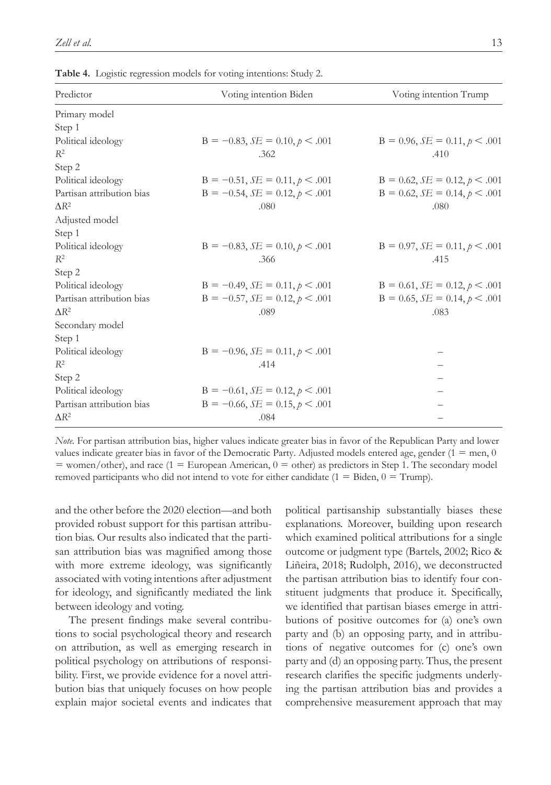| Predictor                 | Voting intention Biden                 | Voting intention Trump                |  |  |
|---------------------------|----------------------------------------|---------------------------------------|--|--|
| Primary model             |                                        |                                       |  |  |
| Step 1                    |                                        |                                       |  |  |
| Political ideology        | $B = -0.83$ , $SE = 0.10$ , $p < .001$ | $B = 0.96$ , $SE = 0.11$ , $p < .001$ |  |  |
| $R^2$                     | .362                                   | .410                                  |  |  |
| Step 2                    |                                        |                                       |  |  |
| Political ideology        | $B = -0.51$ , $SE = 0.11$ , $p < .001$ | $B = 0.62$ , $SE = 0.12$ , $p < .001$ |  |  |
| Partisan attribution bias | $B = -0.54$ , $SE = 0.12$ , $p < .001$ | $B = 0.62$ , $SE = 0.14$ , $p < .001$ |  |  |
| $\Lambda$ <sup>2</sup>    | .080                                   | .080                                  |  |  |
| Adjusted model            |                                        |                                       |  |  |
| Step 1                    |                                        |                                       |  |  |
| Political ideology        | $B = -0.83$ , $SE = 0.10$ , $p < .001$ | $B = 0.97$ , $SE = 0.11$ , $p < .001$ |  |  |
| $R^2$                     | .366                                   | .415                                  |  |  |
| Step 2                    |                                        |                                       |  |  |
| Political ideology        | $B = -0.49$ , $SE = 0.11$ , $p < .001$ | $B = 0.61$ , $SE = 0.12$ , $p < .001$ |  |  |
| Partisan attribution bias | $B = -0.57$ , $SE = 0.12$ , $p < .001$ | $B = 0.65$ , $SE = 0.14$ , $p < .001$ |  |  |
| $\Delta R^2$              | .089                                   | .083                                  |  |  |
| Secondary model           |                                        |                                       |  |  |
| Step 1                    |                                        |                                       |  |  |
| Political ideology        | $B = -0.96$ , $SE = 0.11$ , $p < .001$ |                                       |  |  |
| $R^2$                     | .414                                   |                                       |  |  |
| Step 2                    |                                        |                                       |  |  |
| Political ideology        | $B = -0.61$ , $SE = 0.12$ , $p < .001$ |                                       |  |  |
| Partisan attribution bias | $B = -0.66$ , $SE = 0.15$ , $p < .001$ |                                       |  |  |
| $\Delta R^2$              | .084                                   |                                       |  |  |

**Table 4.** Logistic regression models for voting intentions: Study 2.

*Note.* For partisan attribution bias, higher values indicate greater bias in favor of the Republican Party and lower values indicate greater bias in favor of the Democratic Party. Adjusted models entered age, gender  $(1 = \text{men}, 0$  $=$  women/other), and race (1  $=$  European American, 0  $=$  other) as predictors in Step 1. The secondary model removed participants who did not intend to vote for either candidate  $(1 = \text{Biden}, 0 = \text{Trump})$ .

and the other before the 2020 election—and both provided robust support for this partisan attribution bias. Our results also indicated that the partisan attribution bias was magnified among those with more extreme ideology, was significantly associated with voting intentions after adjustment for ideology, and significantly mediated the link between ideology and voting.

The present findings make several contributions to social psychological theory and research on attribution, as well as emerging research in political psychology on attributions of responsibility. First, we provide evidence for a novel attribution bias that uniquely focuses on how people explain major societal events and indicates that political partisanship substantially biases these explanations. Moreover, building upon research which examined political attributions for a single outcome or judgment type (Bartels, 2002; Rico & Liñeira, 2018; Rudolph, 2016), we deconstructed the partisan attribution bias to identify four constituent judgments that produce it. Specifically, we identified that partisan biases emerge in attributions of positive outcomes for (a) one's own party and (b) an opposing party, and in attributions of negative outcomes for (c) one's own party and (d) an opposing party. Thus, the present research clarifies the specific judgments underlying the partisan attribution bias and provides a comprehensive measurement approach that may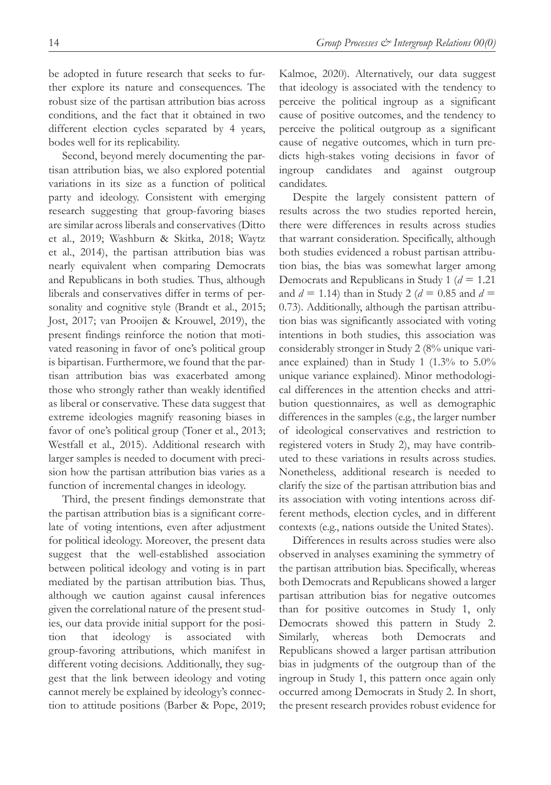be adopted in future research that seeks to further explore its nature and consequences. The robust size of the partisan attribution bias across conditions, and the fact that it obtained in two different election cycles separated by 4 years, bodes well for its replicability.

Second, beyond merely documenting the partisan attribution bias, we also explored potential variations in its size as a function of political party and ideology. Consistent with emerging research suggesting that group-favoring biases are similar across liberals and conservatives (Ditto et al., 2019; Washburn & Skitka, 2018; Waytz et al., 2014), the partisan attribution bias was nearly equivalent when comparing Democrats and Republicans in both studies. Thus, although liberals and conservatives differ in terms of personality and cognitive style (Brandt et al., 2015; Jost, 2017; van Prooijen & Krouwel, 2019), the present findings reinforce the notion that motivated reasoning in favor of one's political group is bipartisan. Furthermore, we found that the partisan attribution bias was exacerbated among those who strongly rather than weakly identified as liberal or conservative. These data suggest that extreme ideologies magnify reasoning biases in favor of one's political group (Toner et al., 2013; Westfall et al., 2015). Additional research with larger samples is needed to document with precision how the partisan attribution bias varies as a function of incremental changes in ideology.

Third, the present findings demonstrate that the partisan attribution bias is a significant correlate of voting intentions, even after adjustment for political ideology. Moreover, the present data suggest that the well-established association between political ideology and voting is in part mediated by the partisan attribution bias. Thus, although we caution against causal inferences given the correlational nature of the present studies, our data provide initial support for the position that ideology is associated with group-favoring attributions, which manifest in different voting decisions. Additionally, they suggest that the link between ideology and voting cannot merely be explained by ideology's connection to attitude positions (Barber & Pope, 2019; Kalmoe, 2020). Alternatively, our data suggest that ideology is associated with the tendency to perceive the political ingroup as a significant cause of positive outcomes, and the tendency to perceive the political outgroup as a significant cause of negative outcomes, which in turn predicts high-stakes voting decisions in favor of ingroup candidates and against outgroup candidates.

Despite the largely consistent pattern of results across the two studies reported herein, there were differences in results across studies that warrant consideration. Specifically, although both studies evidenced a robust partisan attribution bias, the bias was somewhat larger among Democrats and Republicans in Study 1 (*d* = 1.21 and  $d = 1.14$ ) than in Study 2 ( $d = 0.85$  and  $d =$ 0.73). Additionally, although the partisan attribution bias was significantly associated with voting intentions in both studies, this association was considerably stronger in Study 2 (8% unique variance explained) than in Study 1 (1.3% to 5.0% unique variance explained). Minor methodological differences in the attention checks and attribution questionnaires, as well as demographic differences in the samples (e.g., the larger number of ideological conservatives and restriction to registered voters in Study 2), may have contributed to these variations in results across studies. Nonetheless, additional research is needed to clarify the size of the partisan attribution bias and its association with voting intentions across different methods, election cycles, and in different contexts (e.g., nations outside the United States).

Differences in results across studies were also observed in analyses examining the symmetry of the partisan attribution bias. Specifically, whereas both Democrats and Republicans showed a larger partisan attribution bias for negative outcomes than for positive outcomes in Study 1, only Democrats showed this pattern in Study 2. Similarly, whereas both Democrats and Republicans showed a larger partisan attribution bias in judgments of the outgroup than of the ingroup in Study 1, this pattern once again only occurred among Democrats in Study 2. In short, the present research provides robust evidence for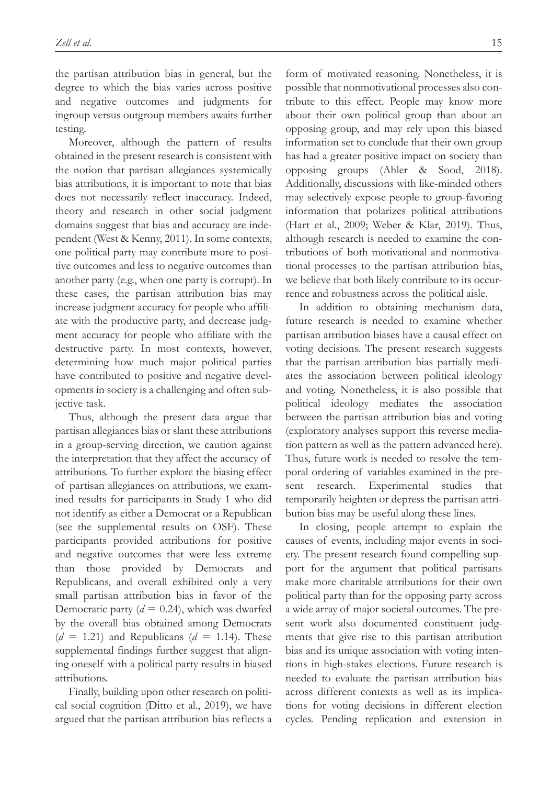the partisan attribution bias in general, but the degree to which the bias varies across positive and negative outcomes and judgments for ingroup versus outgroup members awaits further testing.

Moreover, although the pattern of results obtained in the present research is consistent with the notion that partisan allegiances systemically bias attributions, it is important to note that bias does not necessarily reflect inaccuracy. Indeed, theory and research in other social judgment domains suggest that bias and accuracy are independent (West & Kenny, 2011). In some contexts, one political party may contribute more to positive outcomes and less to negative outcomes than another party (e.g., when one party is corrupt). In these cases, the partisan attribution bias may increase judgment accuracy for people who affiliate with the productive party, and decrease judgment accuracy for people who affiliate with the destructive party. In most contexts, however, determining how much major political parties have contributed to positive and negative developments in society is a challenging and often subjective task.

Thus, although the present data argue that partisan allegiances bias or slant these attributions in a group-serving direction, we caution against the interpretation that they affect the accuracy of attributions. To further explore the biasing effect of partisan allegiances on attributions, we examined results for participants in Study 1 who did not identify as either a Democrat or a Republican (see the supplemental results on OSF). These participants provided attributions for positive and negative outcomes that were less extreme than those provided by Democrats and Republicans, and overall exhibited only a very small partisan attribution bias in favor of the Democratic party  $(d = 0.24)$ , which was dwarfed by the overall bias obtained among Democrats  $(d = 1.21)$  and Republicans  $(d = 1.14)$ . These supplemental findings further suggest that aligning oneself with a political party results in biased attributions.

Finally, building upon other research on political social cognition (Ditto et al., 2019), we have argued that the partisan attribution bias reflects a

form of motivated reasoning. Nonetheless, it is possible that nonmotivational processes also contribute to this effect. People may know more about their own political group than about an opposing group, and may rely upon this biased information set to conclude that their own group has had a greater positive impact on society than opposing groups (Ahler & Sood, 2018). Additionally, discussions with like-minded others may selectively expose people to group-favoring information that polarizes political attributions (Hart et al., 2009; Weber & Klar, 2019). Thus, although research is needed to examine the contributions of both motivational and nonmotivational processes to the partisan attribution bias, we believe that both likely contribute to its occurrence and robustness across the political aisle.

In addition to obtaining mechanism data, future research is needed to examine whether partisan attribution biases have a causal effect on voting decisions. The present research suggests that the partisan attribution bias partially mediates the association between political ideology and voting. Nonetheless, it is also possible that political ideology mediates the association between the partisan attribution bias and voting (exploratory analyses support this reverse mediation pattern as well as the pattern advanced here). Thus, future work is needed to resolve the temporal ordering of variables examined in the present research. Experimental studies that temporarily heighten or depress the partisan attribution bias may be useful along these lines.

In closing, people attempt to explain the causes of events, including major events in society. The present research found compelling support for the argument that political partisans make more charitable attributions for their own political party than for the opposing party across a wide array of major societal outcomes. The present work also documented constituent judgments that give rise to this partisan attribution bias and its unique association with voting intentions in high-stakes elections. Future research is needed to evaluate the partisan attribution bias across different contexts as well as its implications for voting decisions in different election cycles. Pending replication and extension in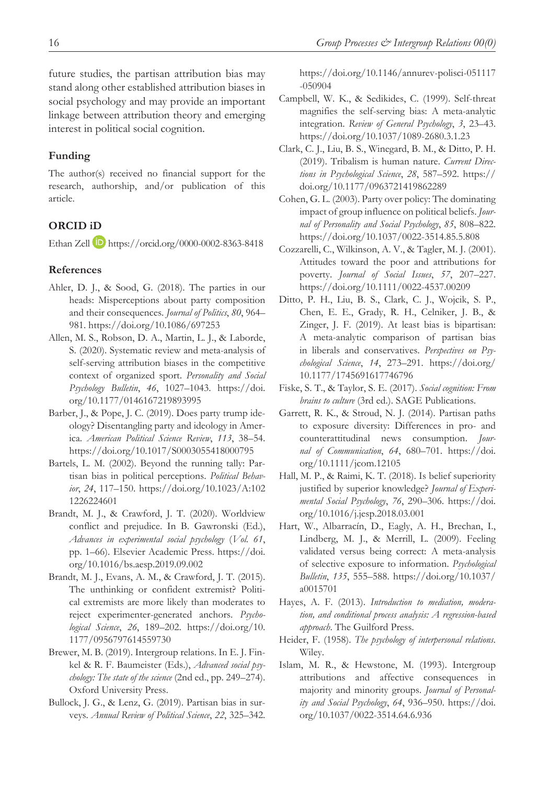future studies, the partisan attribution bias may stand along other established attribution biases in social psychology and may provide an important linkage between attribution theory and emerging interest in political social cognition.

### **Funding**

The author(s) received no financial support for the research, authorship, and/or publication of this article.

### **ORCID iD**

Ethan Zell https://orcid.org/0000-0002-8363-8418

#### **References**

- Ahler, D. J., & Sood, G. (2018). The parties in our heads: Misperceptions about party composition and their consequences. *Journal of Politics*, *80*, 964– 981. https://doi.org/10.1086/697253
- Allen, M. S., Robson, D. A., Martin, L. J., & Laborde, S. (2020). Systematic review and meta-analysis of self-serving attribution biases in the competitive context of organized sport. *Personality and Social Psychology Bulletin*, *46*, 1027–1043. https://doi. org/10.1177/0146167219893995
- Barber, J., & Pope, J. C. (2019). Does party trump ideology? Disentangling party and ideology in America. *American Political Science Review*, *113*, 38–54. https://doi.org/10.1017/S0003055418000795
- Bartels, L. M. (2002). Beyond the running tally: Partisan bias in political perceptions. *Political Behavior*, *24*, 117–150. https://doi.org/10.1023/A:102 1226224601
- Brandt, M. J., & Crawford, J. T. (2020). Worldview conflict and prejudice. In B. Gawronski (Ed.), *Advances in experimental social psychology* (*Vol. 61*, pp. 1–66). Elsevier Academic Press. https://doi. org/10.1016/bs.aesp.2019.09.002
- Brandt, M. J., Evans, A. M., & Crawford, J. T. (2015). The unthinking or confident extremist? Political extremists are more likely than moderates to reject experimenter-generated anchors. *Psychological Science*, *26*, 189–202. https://doi.org/10. 1177/0956797614559730
- Brewer, M. B. (2019). Intergroup relations. In E. J. Finkel & R. F. Baumeister (Eds.), *Advanced social psychology: The state of the science* (2nd ed., pp. 249–274). Oxford University Press.
- Bullock, J. G., & Lenz, G. (2019). Partisan bias in surveys. *Annual Review of Political Science*, *22*, 325–342.

https://doi.org/10.1146/annurev-polisci-051117 -050904

- Campbell, W. K., & Sedikides, C. (1999). Self-threat magnifies the self-serving bias: A meta-analytic integration. *Review of General Psychology*, *3*, 23–43. https://doi.org/10.1037/1089-2680.3.1.23
- Clark, C. J., Liu, B. S., Winegard, B. M., & Ditto, P. H. (2019). Tribalism is human nature. *Current Directions in Psychological Science*, *28*, 587–592. https:// doi.org/10.1177/0963721419862289
- Cohen, G. L. (2003). Party over policy: The dominating impact of group influence on political beliefs. *Journal of Personality and Social Psychology*, *85*, 808–822. https://doi.org/10.1037/0022-3514.85.5.808
- Cozzarelli, C., Wilkinson, A. V., & Tagler, M. J. (2001). Attitudes toward the poor and attributions for poverty. *Journal of Social Issues*, *57*, 207–227. https://doi.org/10.1111/0022-4537.00209
- Ditto, P. H., Liu, B. S., Clark, C. J., Wojcik, S. P., Chen, E. E., Grady, R. H., Celniker, J. B., & Zinger, J. F. (2019). At least bias is bipartisan: A meta-analytic comparison of partisan bias in liberals and conservatives. *Perspectives on Psychological Science*, *14*, 273–291. https://doi.org/ 10.1177/1745691617746796
- Fiske, S. T., & Taylor, S. E. (2017). *Social cognition: From brains to culture* (3rd ed.). SAGE Publications.
- Garrett, R. K., & Stroud, N. J. (2014). Partisan paths to exposure diversity: Differences in pro- and counterattitudinal news consumption. *Journal of Communication*, *64*, 680–701. https://doi. org/10.1111/jcom.12105
- Hall, M. P., & Raimi, K. T. (2018). Is belief superiority justified by superior knowledge? *Journal of Experimental Social Psychology*, *76*, 290–306. https://doi. org/10.1016/j.jesp.2018.03.001
- Hart, W., Albarracín, D., Eagly, A. H., Brechan, I., Lindberg, M. J., & Merrill, L. (2009). Feeling validated versus being correct: A meta-analysis of selective exposure to information. *Psychological Bulletin*, *135*, 555–588. https://doi.org/10.1037/ a0015701
- Hayes, A. F. (2013). *Introduction to mediation, moderation, and conditional process analysis: A regression-based approach*. The Guilford Press.
- Heider, F. (1958). *The psychology of interpersonal relations*. Wiley.
- Islam, M. R., & Hewstone, M. (1993). Intergroup attributions and affective consequences in majority and minority groups. *Journal of Personality and Social Psychology*, *64*, 936–950. https://doi. org/10.1037/0022-3514.64.6.936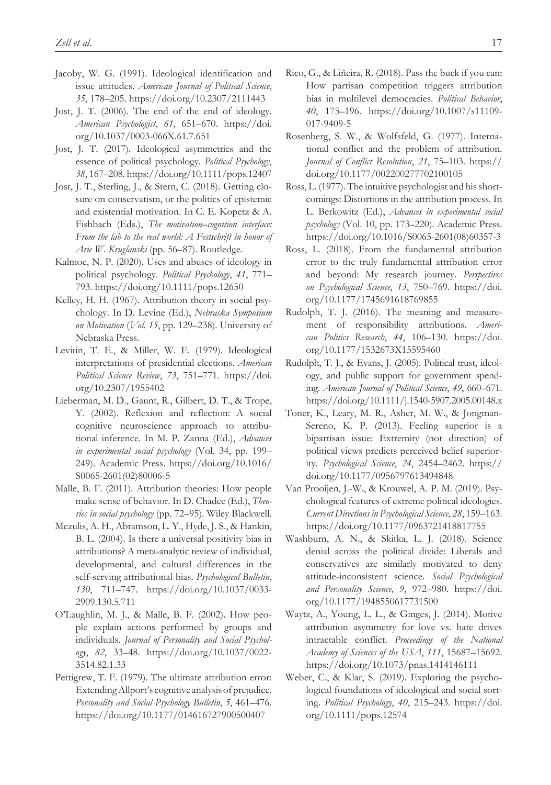- Jacoby, W. G. (1991). Ideological identification and issue attitudes. *American Journal of Political Science*, *35*, 178–205. https://doi.org/10.2307/2111443
- Jost, J. T. (2006). The end of the end of ideology. *American Psychologist*, *61*, 651–670. https://doi. org/10.1037/0003-066X.61.7.651
- Jost, J. T. (2017). Ideological asymmetries and the essence of political psychology. *Political Psychology*, *38*, 167–208. https://doi.org/10.1111/pops.12407
- Jost, J. T., Sterling, J., & Stern, C. (2018). Getting closure on conservatism, or the politics of epistemic and existential motivation. In C. E. Kopetz & A. Fishbach (Eds.), *The motivation–cognition interface: From the lab to the real world: A Festschrift in honor of Arie W. Kruglanski* (pp. 56–87). Routledge.
- Kalmoe, N. P. (2020). Uses and abuses of ideology in political psychology. *Political Psychology*, *41*, 771– 793. https://doi.org/10.1111/pops.12650
- Kelley, H. H. (1967). Attribution theory in social psychology. In D. Levine (Ed.), *Nebraska Symposium on Motivation* (*Vol. 15*, pp. 129–238). University of Nebraska Press.
- Levitin, T. E., & Miller, W. E. (1979). Ideological interpretations of presidential elections. *American Political Science Review*, *73*, 751–771. https://doi. org/10.2307/1955402
- Lieberman, M. D., Gaunt, R., Gilbert, D. T., & Trope, Y. (2002). Reflexion and reflection: A social cognitive neuroscience approach to attributional inference. In M. P. Zanna (Ed.), *Advances in experimental social psychology* (Vol. 34, pp. 199– 249). Academic Press. https://doi.org/10.1016/ S0065-2601(02)80006-5
- Malle, B. F. (2011). Attribution theories: How people make sense of behavior. In D. Chadee (Ed.), *Theories in social psychology* (pp. 72–95). Wiley Blackwell.
- Mezulis, A. H., Abramson, L. Y., Hyde, J. S., & Hankin, B. L. (2004). Is there a universal positivity bias in attributions? A meta-analytic review of individual, developmental, and cultural differences in the self-serving attributional bias. *Psychological Bulletin*, *130*, 711–747. https://doi.org/10.1037/0033- 2909.130.5.711
- O'Laughlin, M. J., & Malle, B. F. (2002). How people explain actions performed by groups and individuals. *Journal of Personality and Social Psychology*, *82*, 33–48. https://doi.org/10.1037/0022- 3514.82.1.33
- Pettigrew, T. F. (1979). The ultimate attribution error: Extending Allport's cognitive analysis of prejudice. *Personality and Social Psychology Bulletin*, *5*, 461–476. https://doi.org/10.1177/014616727900500407
- Rico, G., & Liñeira, R. (2018). Pass the buck if you can: How partisan competition triggers attribution bias in multilevel democracies. *Political Behavior*, *40*, 175–196. https://doi.org/10.1007/s11109- 017-9409-5
- Rosenberg, S. W., & Wolfsfeld, G. (1977). International conflict and the problem of attribution. *Journal of Conflict Resolution*, *21*, 75–103. https:// doi.org/10.1177/002200277702100105
- Ross, L. (1977). The intuitive psychologist and his shortcomings: Distortions in the attribution process. In L. Berkowitz (Ed.), *Advances in experimental social psychology* (Vol. 10, pp. 173–220). Academic Press. https://doi.org/10.1016/S0065-2601(08)60357-3
- Ross, L. (2018). From the fundamental attribution error to the truly fundamental attribution error and beyond: My research journey. *Perspectives on Psychological Science*, *13*, 750–769. https://doi. org/10.1177/1745691618769855
- Rudolph, T. J. (2016). The meaning and measurement of responsibility attributions. *American Politics Research*, *44*, 106–130. https://doi. org/10.1177/1532673X15595460
- Rudolph, T. J., & Evans, J. (2005). Political trust, ideology, and public support for government spending. *American Journal of Political Science*, *49*, 660–671. https://doi.org/10.1111/j.1540-5907.2005.00148.x
- Toner, K., Leary, M. R., Asher, M. W., & Jongman-Sereno, K. P. (2013). Feeling superior is a bipartisan issue: Extremity (not direction) of political views predicts perceived belief superiority. *Psychological Science*, *24*, 2454–2462. https:// doi.org/10.1177/0956797613494848
- Van Prooijen, J.-W., & Krouwel, A. P. M. (2019). Psychological features of extreme political ideologies. *Current Directions in Psychological Science*, *28*, 159–163. https://doi.org/10.1177/0963721418817755
- Washburn, A. N., & Skitka, L. J. (2018). Science denial across the political divide: Liberals and conservatives are similarly motivated to deny attitude-inconsistent science. *Social Psychological and Personality Science*, *9*, 972–980. https://doi. org/10.1177/1948550617731500
- Waytz, A., Young, L. L., & Ginges, J. (2014). Motive attribution asymmetry for love vs. hate drives intractable conflict. *Proceedings of the National Academy of Sciences of the USA*, *111*, 15687–15692. https://doi.org/10.1073/pnas.1414146111
- Weber, C., & Klar, S. (2019). Exploring the psychological foundations of ideological and social sorting. *Political Psychology*, *40*, 215–243. https://doi. org/10.1111/pops.12574